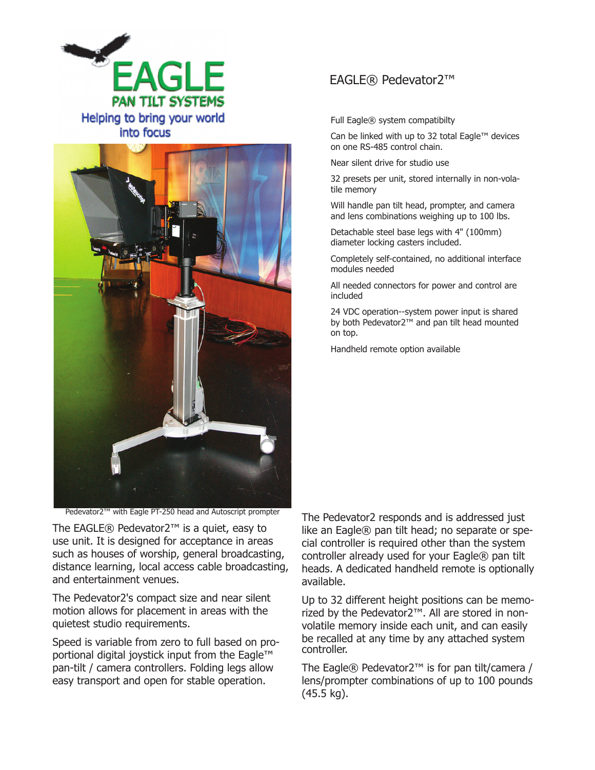



Pedevator2™ with Eagle PT-250 head and Autoscript prompter

The EAGLE® Pedevator2™ is a quiet, easy to use unit. It is designed for acceptance in areas such as houses of worship, general broadcasting, distance learning, local access cable broadcasting, and entertainment venues.

The Pedevator2's compact size and near silent motion allows for placement in areas with the quietest studio requirements.

Speed is variable from zero to full based on proportional digital joystick input from the Eagle™ pan-tilt / camera controllers. Folding legs allow easy transport and open for stable operation.

## EAGLE® Pedevator2™

Full Eagle® system compatibilty

Can be linked with up to 32 total Eagle™ devices on one RS-485 control chain.

Near silent drive for studio use

32 presets per unit, stored internally in non-volatile memory

Will handle pan tilt head, prompter, and camera and lens combinations weighing up to 100 lbs.

Detachable steel base legs with 4" (100mm) diameter locking casters included.

Completely self-contained, no additional interface modules needed

All needed connectors for power and control are included

24 VDC operation--system power input is shared by both Pedevator2™ and pan tilt head mounted on top.

Handheld remote option available

The Pedevator2 responds and is addressed just like an Eagle® pan tilt head; no separate or special controller is required other than the system controller already used for your Eagle® pan tilt heads. A dedicated handheld remote is optionally available.

Up to 32 different height positions can be memorized by the Pedevator2™. All are stored in nonvolatile memory inside each unit, and can easily be recalled at any time by any attached system controller.

The Eagle® Pedevator2™ is for pan tilt/camera / lens/prompter combinations of up to 100 pounds (45.5 kg).